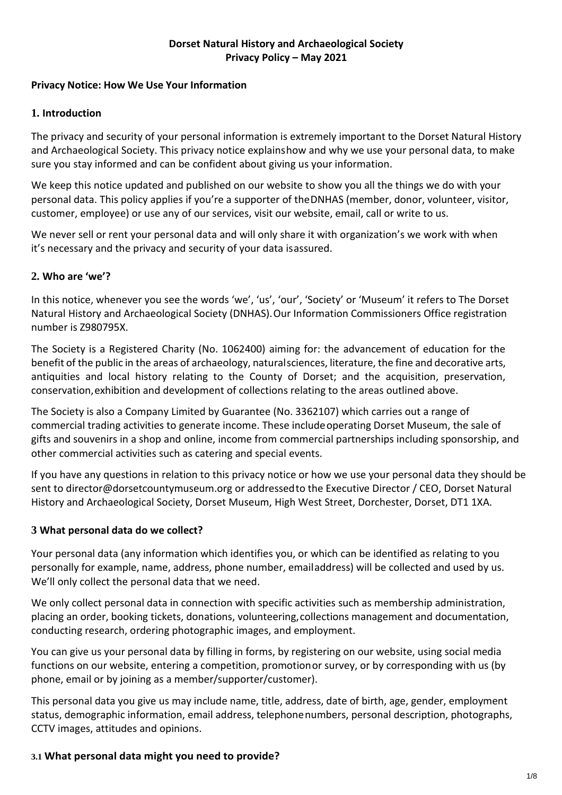### **Dorset Natural History and Archaeological Society Privacy Policy – May 2021**

### **Privacy Notice: How We Use Your Information**

### **1. Introduction**

The privacy and security of your personal information is extremely important to the Dorset Natural History and Archaeological Society. This privacy notice explainshow and why we use your personal data, to make sure you stay informed and can be confident about giving us your information.

We keep this notice updated and published on our website to show you all the things we do with your personal data. This policy applies if you're a supporter of theDNHAS (member, donor, volunteer, visitor, customer, employee) or use any of our services, visit our website, email, call or write to us.

We never sell or rent your personal data and will only share it with organization's we work with when it's necessary and the privacy and security of your data isassured.

## **2. Who are 'we'?**

In this notice, whenever you see the words 'we', 'us', 'our', 'Society' or 'Museum' it refers to The Dorset Natural History and Archaeological Society (DNHAS).Our Information Commissioners Office registration number is Z980795X.

The Society is a Registered Charity (No. 1062400) aiming for: the advancement of education for the benefit of the public in the areas of archaeology, naturalsciences, literature, the fine and decorative arts, antiquities and local history relating to the County of Dorset; and the acquisition, preservation, conservation,exhibition and development of collections relating to the areas outlined above.

The Society is also a Company Limited by Guarantee (No. 3362107) which carries out a range of commercial trading activities to generate income. These include operating Dorset Museum, the sale of gifts and souvenirs in a shop and online, income from commercial partnerships including sponsorship, and other commercial activities such as catering and special events.

If you have any questions in relation to this privacy notice or how we use your personal data they should be sent to [director@dorsetcountymuseum.org o](mailto:director@dorsetcountymuseum.org)r addressedto the Executive Director / CEO, Dorset Natural History and Archaeological Society, Dorset Museum, High West Street, Dorchester, Dorset, DT1 1XA.

### **3 What personal data do we collect?**

Your personal data (any information which identifies you, or which can be identified as relating to you personally for example, name, address, phone number, emailaddress) will be collected and used by us. We'll only collect the personal data that we need.

We only collect personal data in connection with specific activities such as membership administration, placing an order, booking tickets, donations, volunteering,collections management and documentation, conducting research, ordering photographic images, and employment.

You can give us your personal data by filling in forms, by registering on our website, using social media functions on our website, entering a competition, promotionor survey, or by corresponding with us (by phone, email or by joining as a member/supporter/customer).

This personal data you give us may include name, title, address, date of birth, age, gender, employment status, demographic information, email address, telephonenumbers, personal description, photographs, CCTV images, attitudes and opinions.

### **3.1 What personal data might you need to provide?**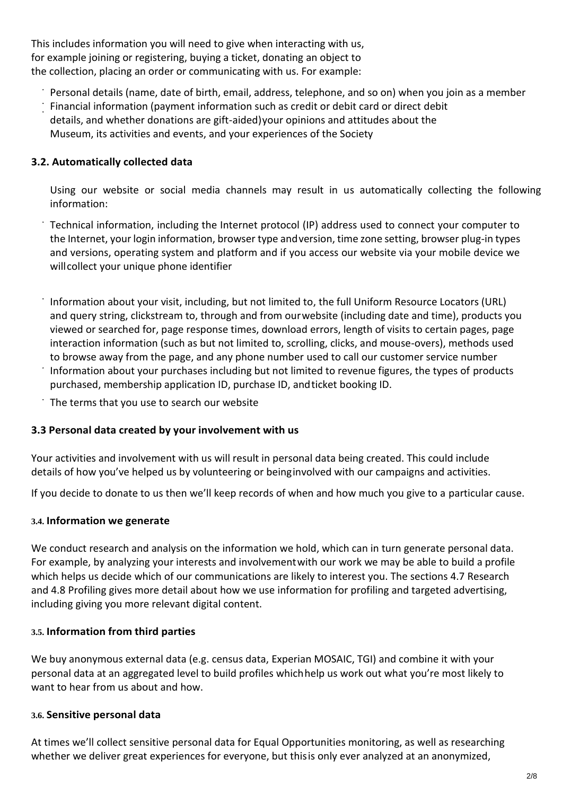This includes information you will need to give when interacting with us, for example joining or registering, buying a ticket, donating an object to the collection, placing an order or communicating with us. For example:

- Personal details (name, date of birth, email, address, telephone, and so on) when you join as a member
- Financial information (payment information such as credit or debit card or direct debit details, and whether donations are gift-aided)your opinions and attitudes about the Museum, its activities and events, and your experiences of the Society

## **3.2. Automatically collected data**

Using our website or social media channels may result in us automatically collecting the following information:

Technical information, including the Internet protocol (IP) address used to connect your computer to the Internet, your login information, browser type andversion, time zone setting, browser plug-in types and versions, operating system and platform and if you access our website via your mobile device we willcollect your unique phone identifier

Information about your visit, including, but not limited to, the full Uniform Resource Locators (URL) and query string, clickstream to, through and from ourwebsite (including date and time), products you viewed or searched for, page response times, download errors, length of visits to certain pages, page interaction information (such as but not limited to, scrolling, clicks, and mouse-overs), methods used to browse away from the page, and any phone number used to call our customer service number Information about your purchases including but not limited to revenue figures, the types of products purchased, membership application ID, purchase ID, andticket booking ID.

The terms that you use to search our website

### **3.3 Personal data created by your involvement with us**

Your activities and involvement with us will result in personal data being created. This could include details of how you've helped us by volunteering or beinginvolved with our campaigns and activities.

If you decide to donate to us then we'll keep records of when and how much you give to a particular cause.

### **3.4. Information we generate**

We conduct research and analysis on the information we hold, which can in turn generate personal data. For example, by analyzing your interests and involvementwith our work we may be able to build a profile which helps us decide which of our communications are likely to interest you. The sections 4.7 Research and 4.8 Profiling gives more detail about how we use information for profiling and targeted advertising, including giving you more relevant digital content.

### **3.5. Information from third parties**

We buy anonymous external data (e.g. census data, Experian MOSAIC, TGI) and combine it with your personal data at an aggregated level to build profiles whichhelp us work out what you're most likely to want to hear from us about and how.

#### **3.6. Sensitive personal data**

At times we'll collect sensitive personal data for Equal Opportunities monitoring, as well as researching whether we deliver great experiences for everyone, but thisis only ever analyzed at an anonymized,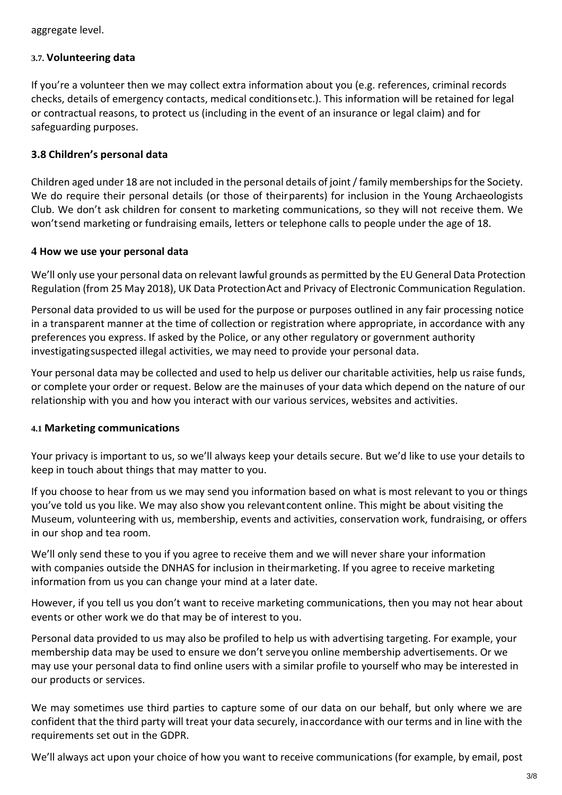aggregate level.

#### **3.7. Volunteering data**

If you're a volunteer then we may collect extra information about you (e.g. references, criminal records checks, details of emergency contacts, medical conditionsetc.). This information will be retained for legal or contractual reasons, to protect us (including in the event of an insurance or legal claim) and for safeguarding purposes.

#### **3.8 Children's personal data**

Children aged under 18 are not included in the personal details of joint /family membershipsfor the Society. We do require their personal details (or those of theirparents) for inclusion in the Young Archaeologists Club. We don't ask children for consent to marketing communications, so they will not receive them. We won'tsend marketing or fundraising emails, letters or telephone calls to people under the age of 18.

#### **4 How we use your personal data**

We'll only use your personal data on relevant lawful grounds as permitted by the EU General Data Protection Regulation (from 25 May 2018), UK Data ProtectionAct and Privacy of Electronic Communication Regulation.

Personal data provided to us will be used for the purpose or purposes outlined in any fair processing notice in a transparent manner at the time of collection or registration where appropriate, in accordance with any preferences you express. If asked by the Police, or any other regulatory or government authority investigatingsuspected illegal activities, we may need to provide your personal data.

Your personal data may be collected and used to help us deliver our charitable activities, help us raise funds, or complete your order or request. Below are the mainuses of your data which depend on the nature of our relationship with you and how you interact with our various services, websites and activities.

#### **4.1 Marketing communications**

Your privacy is important to us, so we'll always keep your details secure. But we'd like to use your details to keep in touch about things that may matter to you.

If you choose to hear from us we may send you information based on what is most relevant to you or things you've told us you like. We may also show you relevantcontent online. This might be about visiting the Museum, volunteering with us, membership, events and activities, conservation work, fundraising, or offers in our shop and tea room.

We'll only send these to you if you agree to receive them and we will never share your information with companies outside the DNHAS for inclusion in theirmarketing. If you agree to receive marketing information from us you can change your mind at a later date.

However, if you tell us you don't want to receive marketing communications, then you may not hear about events or other work we do that may be of interest to you.

Personal data provided to us may also be profiled to help us with advertising targeting. For example, your membership data may be used to ensure we don't serveyou online membership advertisements. Or we may use your personal data to find online users with a similar profile to yourself who may be interested in our products or services.

We may sometimes use third parties to capture some of our data on our behalf, but only where we are confident that the third party will treat your data securely, inaccordance with our terms and in line with the requirements set out in the GDPR.

We'll always act upon your choice of how you want to receive communications (for example, by email, post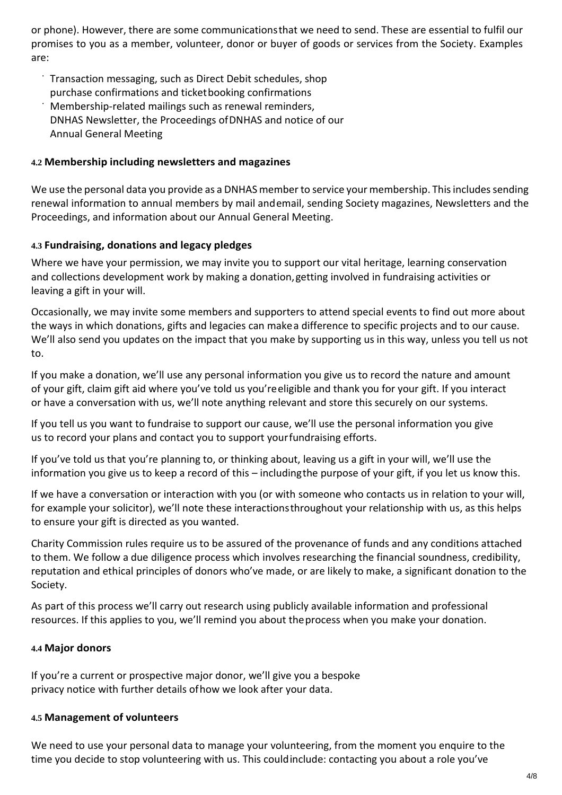or phone). However, there are some communicationsthat we need to send. These are essential to fulfil our promises to you as a member, volunteer, donor or buyer of goods or services from the Society. Examples are:

- Transaction messaging, such as Direct Debit schedules, shop purchase confirmations and ticketbooking confirmations
- Membership-related mailings such as renewal reminders, DNHAS Newsletter, the Proceedings ofDNHAS and notice of our Annual General Meeting

### **4.2 Membership including newsletters and magazines**

We use the personal data you provide as a DNHAS member to service your membership. This includes sending renewal information to annual members by mail andemail, sending Society magazines, Newsletters and the Proceedings, and information about our Annual General Meeting.

### **4.3 Fundraising, donations and legacy pledges**

Where we have your permission, we may invite you to support our vital heritage, learning conservation and collections development work by making a donation,getting involved in fundraising activities or leaving a gift in your will.

Occasionally, we may invite some members and supporters to attend special events to find out more about the ways in which donations, gifts and legacies can makea difference to specific projects and to our cause. We'll also send you updates on the impact that you make by supporting us in this way, unless you tell us not to.

If you make a donation, we'll use any personal information you give us to record the nature and amount of your gift, claim gift aid where you've told us you'reeligible and thank you for your gift. If you interact or have a conversation with us, we'll note anything relevant and store this securely on our systems.

If you tell us you want to fundraise to support our cause, we'll use the personal information you give us to record your plans and contact you to support yourfundraising efforts.

If you've told us that you're planning to, or thinking about, leaving us a gift in your will, we'll use the information you give us to keep a record of this – includingthe purpose of your gift, if you let us know this.

If we have a conversation or interaction with you (or with someone who contacts us in relation to your will, for example your solicitor), we'll note these interactionsthroughout your relationship with us, as this helps to ensure your gift is directed as you wanted.

Charity Commission rules require us to be assured of the provenance of funds and any conditions attached to them. We follow a due diligence process which involves researching the financial soundness, credibility, reputation and ethical principles of donors who've made, or are likely to make, a significant donation to the Society.

As part of this process we'll carry out research using publicly available information and professional resources. If this applies to you, we'll remind you about theprocess when you make your donation.

### **4.4 Major donors**

If you're a current or prospective major donor, we'll give you a bespoke privacy notice with further details ofhow we look after your data.

### **4.5 Management of volunteers**

We need to use your personal data to manage your volunteering, from the moment you enquire to the time you decide to stop volunteering with us. This couldinclude: contacting you about a role you've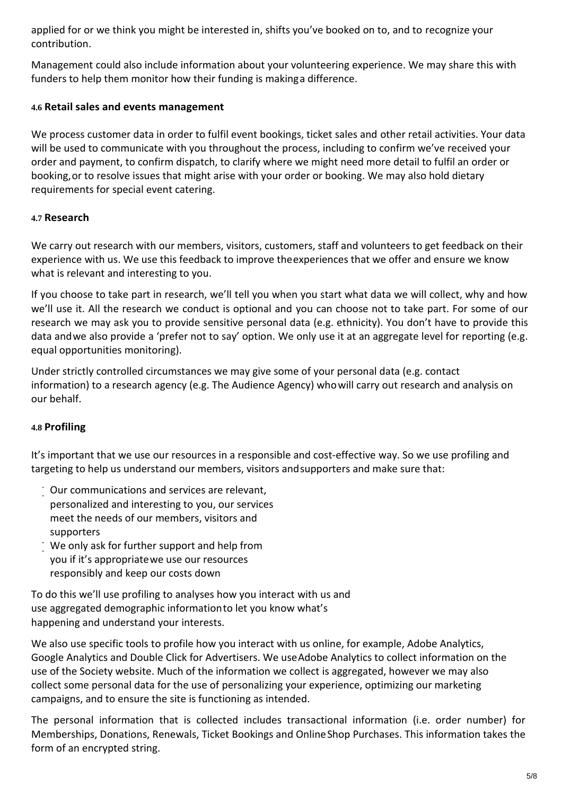applied for or we think you might be interested in, shifts you've booked on to, and to recognize your contribution.

Management could also include information about your volunteering experience. We may share this with funders to help them monitor how their funding is makinga difference.

### **4.6 Retail sales and events management**

We process customer data in order to fulfil event bookings, ticket sales and other retail activities. Your data will be used to communicate with you throughout the process, including to confirm we've received your order and payment, to confirm dispatch, to clarify where we might need more detail to fulfil an order or booking,or to resolve issues that might arise with your order or booking. We may also hold dietary requirements for special event catering.

### **4.7 Research**

We carry out research with our members, visitors, customers, staff and volunteers to get feedback on their experience with us. We use this feedback to improve theexperiences that we offer and ensure we know what is relevant and interesting to you.

If you choose to take part in research, we'll tell you when you start what data we will collect, why and how we'll use it. All the research we conduct is optional and you can choose not to take part. For some of our research we may ask you to provide sensitive personal data (e.g. ethnicity). You don't have to provide this data andwe also provide a 'prefer not to say' option. We only use it at an aggregate level for reporting (e.g. equal opportunities monitoring).

Under strictly controlled circumstances we may give some of your personal data (e.g. contact information) to a research agency (e.g. The Audience Agency) whowill carry out research and analysis on our behalf.

## **4.8 Profiling**

It's important that we use our resources in a responsible and cost-effective way. So we use profiling and targeting to help us understand our members, visitors and supporters and make sure that:

- Our communications and services are relevant, personalized and interesting to you, our services meet the needs of our members, visitors and supporters
- We only ask for further support and help from you if it's appropriatewe use our resources responsibly and keep our costs down

To do this we'll use profiling to analyses how you interact with us and use aggregated demographic informationto let you know what's happening and understand your interests.

We also use specific tools to profile how you interact with us online, for example, Adobe Analytics, Google Analytics and Double Click for Advertisers. We useAdobe Analytics to collect information on the use of the Society website. Much of the information we collect is aggregated, however we may also collect some personal data for the use of personalizing your experience, optimizing our marketing campaigns, and to ensure the site is functioning as intended.

The personal information that is collected includes transactional information (i.e. order number) for Memberships, Donations, Renewals, Ticket Bookings and OnlineShop Purchases. This information takes the form of an encrypted string.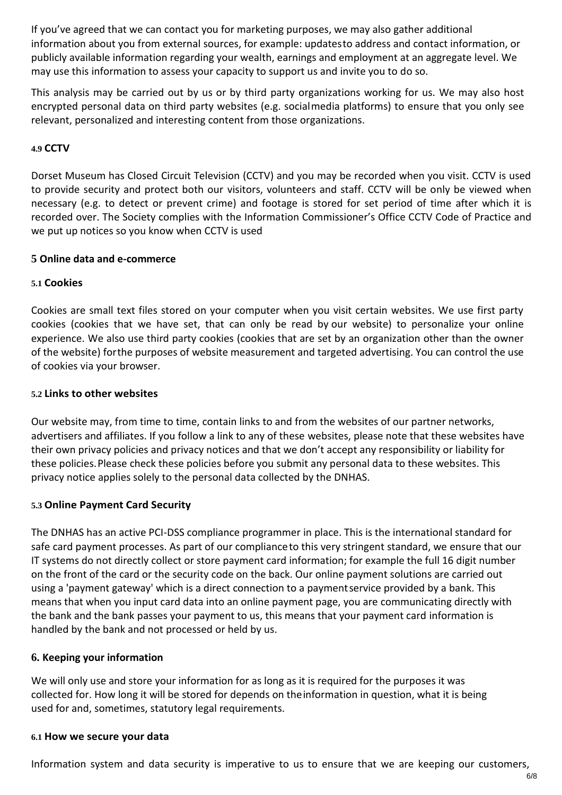If you've agreed that we can contact you for marketing purposes, we may also gather additional information about you from external sources, for example: updatesto address and contact information, or publicly available information regarding your wealth, earnings and employment at an aggregate level. We may use this information to assess your capacity to support us and invite you to do so.

This analysis may be carried out by us or by third party organizations working for us. We may also host encrypted personal data on third party websites (e.g. socialmedia platforms) to ensure that you only see relevant, personalized and interesting content from those organizations.

### **4.9 CCTV**

Dorset Museum has Closed Circuit Television (CCTV) and you may be recorded when you visit. CCTV is used to provide security and protect both our visitors, volunteers and staff. CCTV will be only be viewed when necessary (e.g. to detect or prevent crime) and footage is stored for set period of time after which it is recorded over. The Society complies with the Information Commissioner's Office CCTV Code of Practice and we put up notices so you know when CCTV is used

#### **5 Online data and e-commerce**

### **5.1 Cookies**

Cookies are small text files stored on your computer when you visit certain websites. We use first party cookies (cookies that we have set, that can only be read by our website) to personalize your online experience. We also use third party cookies (cookies that are set by an organization other than the owner of the website) forthe purposes of website measurement and targeted advertising. You can control the use of cookies via your browser.

#### **5.2 Links to other websites**

Our website may, from time to time, contain links to and from the websites of our partner networks, advertisers and affiliates. If you follow a link to any of these websites, please note that these websites have their own privacy policies and privacy notices and that we don't accept any responsibility or liability for these policies.Please check these policies before you submit any personal data to these websites. This privacy notice applies solely to the personal data collected by the DNHAS.

### **5.3 Online Payment Card Security**

The DNHAS has an active PCI-DSS compliance programmer in place. This is the international standard for safe card payment processes. As part of our complianceto this very stringent standard, we ensure that our IT systems do not directly collect or store payment card information; for example the full 16 digit number on the front of the card or the security code on the back. Our online payment solutions are carried out using a 'payment gateway' which is a direct connection to a paymentservice provided by a bank. This means that when you input card data into an online payment page, you are communicating directly with the bank and the bank passes your payment to us, this means that your payment card information is handled by the bank and not processed or held by us.

### **6. Keeping your information**

We will only use and store your information for as long as it is required for the purposes it was collected for. How long it will be stored for depends on theinformation in question, what it is being used for and, sometimes, statutory legal requirements.

#### **6.1 How we secure your data**

Information system and data security is imperative to us to ensure that we are keeping our customers,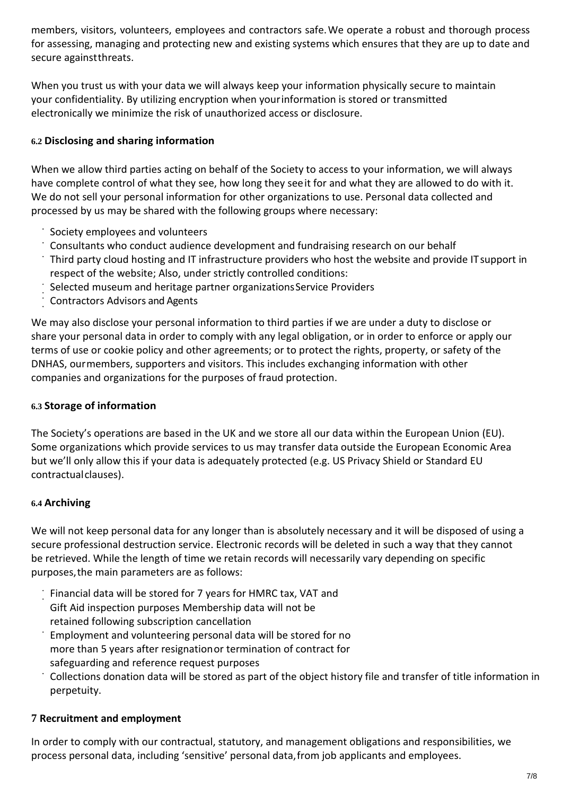members, visitors, volunteers, employees and contractors safe.We operate a robust and thorough process for assessing, managing and protecting new and existing systems which ensures that they are up to date and secure againstthreats.

When you trust us with your data we will always keep your information physically secure to maintain your confidentiality. By utilizing encryption when yourinformation is stored or transmitted electronically we minimize the risk of unauthorized access or disclosure.

## **6.2 Disclosing and sharing information**

When we allow third parties acting on behalf of the Society to access to your information, we will always have complete control of what they see, how long they seeit for and what they are allowed to do with it. We do not sell your personal information for other organizations to use. Personal data collected and processed by us may be shared with the following groups where necessary:

- Society employees and volunteers
- Consultants who conduct audience development and fundraising research on our behalf
- Third party cloud hosting and IT infrastructure providers who host the website and provide ITsupport in respect of the website; Also, under strictly controlled conditions:
- Selected museum and heritage partner organizationsService Providers
- Contractors Advisors and Agents

We may also disclose your personal information to third parties if we are under a duty to disclose or share your personal data in order to comply with any legal obligation, or in order to enforce or apply our terms of use or cookie policy and other agreements; or to protect the rights, property, or safety of the DNHAS, ourmembers, supporters and visitors. This includes exchanging information with other companies and organizations for the purposes of fraud protection.

## **6.3 Storage of information**

The Society's operations are based in the UK and we store all our data within the European Union (EU). Some organizations which provide services to us may transfer data outside the European Economic Area but we'll only allow this if your data is adequately protected (e.g. US Privacy Shield or Standard EU contractualclauses).

## **6.4 Archiving**

We will not keep personal data for any longer than is absolutely necessary and it will be disposed of using a secure professional destruction service. Electronic records will be deleted in such a way that they cannot be retrieved. While the length of time we retain records will necessarily vary depending on specific purposes,the main parameters are as follows:

- Financial data will be stored for 7 years for HMRC tax, VAT and Gift Aid inspection purposes Membership data will not be retained following subscription cancellation
- Employment and volunteering personal data will be stored for no more than 5 years after resignationor termination of contract for safeguarding and reference request purposes
- Collections donation data will be stored as part of the object history file and transfer of title information in perpetuity.

# **7 Recruitment and employment**

In order to comply with our contractual, statutory, and management obligations and responsibilities, we process personal data, including 'sensitive' personal data,from job applicants and employees.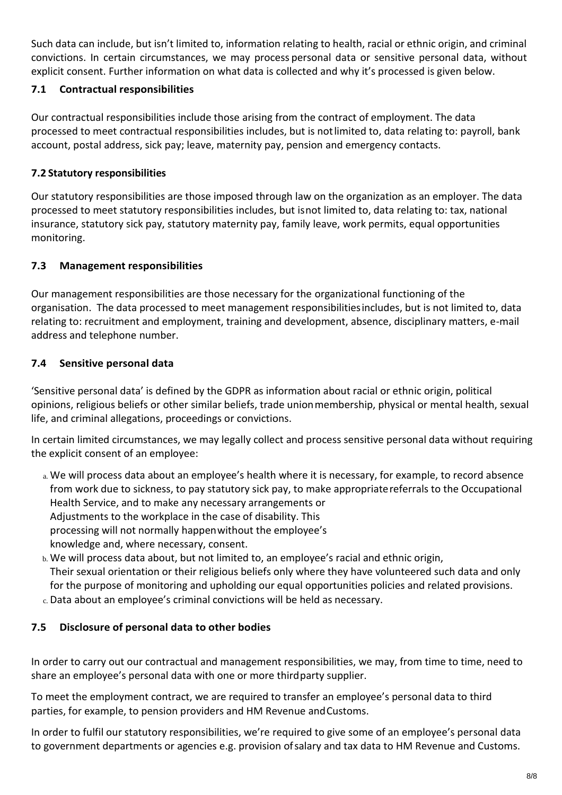Such data can include, but isn't limited to, information relating to health, racial or ethnic origin, and criminal convictions. In certain circumstances, we may process personal data or sensitive personal data, without explicit consent. Further information on what data is collected and why it's processed is given below.

# **7.1 Contractual responsibilities**

Our contractual responsibilities include those arising from the contract of employment. The data processed to meet contractual responsibilities includes, but is notlimited to, data relating to: payroll, bank account, postal address, sick pay; leave, maternity pay, pension and emergency contacts.

# **7.2 Statutory responsibilities**

Our statutory responsibilities are those imposed through law on the organization as an employer. The data processed to meet statutory responsibilities includes, but isnot limited to, data relating to: tax, national insurance, statutory sick pay, statutory maternity pay, family leave, work permits, equal opportunities monitoring.

# **7.3 Management responsibilities**

Our management responsibilities are those necessary for the organizational functioning of the organisation. The data processed to meet management responsibilitiesincludes, but is not limited to, data relating to: recruitment and employment, training and development, absence, disciplinary matters, e-mail address and telephone number.

# **7.4 Sensitive personal data**

'Sensitive personal data' is defined by the GDPR as information about racial or ethnic origin, political opinions, religious beliefs or other similar beliefs, trade unionmembership, physical or mental health, sexual life, and criminal allegations, proceedings or convictions.

In certain limited circumstances, we may legally collect and process sensitive personal data without requiring the explicit consent of an employee:

- a. We will process data about an employee's health where it is necessary, for example, to record absence from work due to sickness, to pay statutory sick pay, to make appropriatereferrals to the Occupational Health Service, and to make any necessary arrangements or Adjustments to the workplace in the case of disability. This processing will not normally happenwithout the employee's knowledge and, where necessary, consent.
- b. We will process data about, but not limited to, an employee's racial and ethnic origin, Their sexual orientation or their religious beliefs only where they have volunteered such data and only for the purpose of monitoring and upholding our equal opportunities policies and related provisions.
- c. Data about an employee's criminal convictions will be held as necessary.

# **7.5 Disclosure of personal data to other bodies**

In order to carry out our contractual and management responsibilities, we may, from time to time, need to share an employee's personal data with one or more thirdparty supplier.

To meet the employment contract, we are required to transfer an employee's personal data to third parties, for example, to pension providers and HM Revenue andCustoms.

In order to fulfil our statutory responsibilities, we're required to give some of an employee's personal data to government departments or agencies e.g. provision ofsalary and tax data to HM Revenue and Customs.